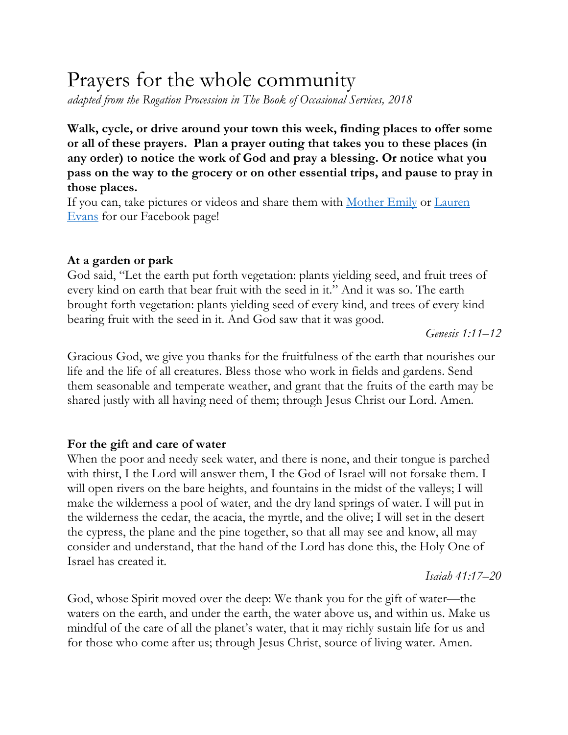# Prayers for the whole community

*adapted from the Rogation Procession in The Book of Occasional Services, 2018*

**Walk, cycle, or drive around your town this week, finding places to offer some or all of these prayers. Plan a prayer outing that takes you to these places (in any order) to notice the work of God and pray a blessing. Or notice what you pass on the way to the grocery or on other essential trips, and pause to pray in those places.**

If you can, take pictures or videos and share them with Mother Emily or Lauren Evans for our Facebook page!

## **At a garden or park**

God said, "Let the earth put forth vegetation: plants yielding seed, and fruit trees of every kind on earth that bear fruit with the seed in it." And it was so. The earth brought forth vegetation: plants yielding seed of every kind, and trees of every kind bearing fruit with the seed in it. And God saw that it was good.

*Genesis 1:11–12*

Gracious God, we give you thanks for the fruitfulness of the earth that nourishes our life and the life of all creatures. Bless those who work in fields and gardens. Send them seasonable and temperate weather, and grant that the fruits of the earth may be shared justly with all having need of them; through Jesus Christ our Lord. Amen.

## **For the gift and care of water**

When the poor and needy seek water, and there is none, and their tongue is parched with thirst, I the Lord will answer them, I the God of Israel will not forsake them. I will open rivers on the bare heights, and fountains in the midst of the valleys; I will make the wilderness a pool of water, and the dry land springs of water. I will put in the wilderness the cedar, the acacia, the myrtle, and the olive; I will set in the desert the cypress, the plane and the pine together, so that all may see and know, all may consider and understand, that the hand of the Lord has done this, the Holy One of Israel has created it.

*Isaiah 41:17–20*

God, whose Spirit moved over the deep: We thank you for the gift of water—the waters on the earth, and under the earth, the water above us, and within us. Make us mindful of the care of all the planet's water, that it may richly sustain life for us and for those who come after us; through Jesus Christ, source of living water. Amen.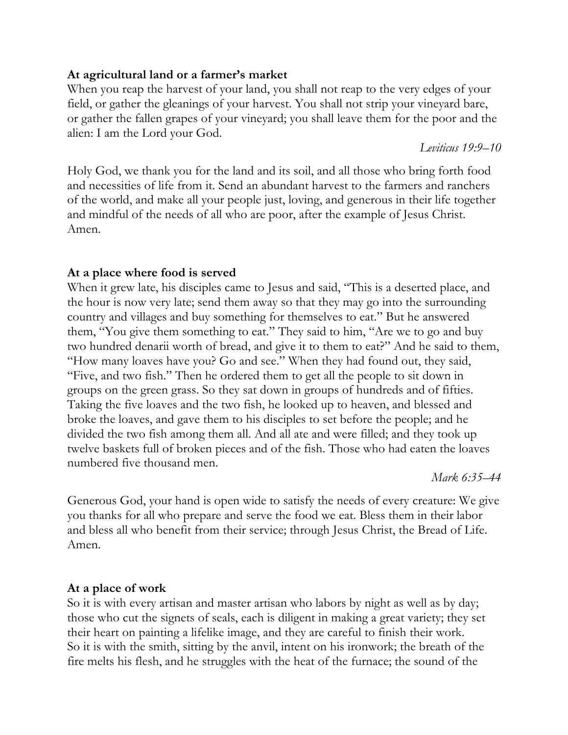## **At agricultural land or a farmer's market**

When you reap the harvest of your land, you shall not reap to the very edges of your field, or gather the gleanings of your harvest. You shall not strip your vineyard bare, or gather the fallen grapes of your vineyard; you shall leave them for the poor and the alien: I am the Lord your God.

*Leviticus 19:9–10*

Holy God, we thank you for the land and its soil, and all those who bring forth food and necessities of life from it. Send an abundant harvest to the farmers and ranchers of the world, and make all your people just, loving, and generous in their life together and mindful of the needs of all who are poor, after the example of Jesus Christ. Amen.

# **At a place where food is served**

When it grew late, his disciples came to Jesus and said, "This is a deserted place, and the hour is now very late; send them away so that they may go into the surrounding country and villages and buy something for themselves to eat." But he answered them, "You give them something to eat." They said to him, "Are we to go and buy two hundred denarii worth of bread, and give it to them to eat?" And he said to them, "How many loaves have you? Go and see." When they had found out, they said, "Five, and two fish." Then he ordered them to get all the people to sit down in groups on the green grass. So they sat down in groups of hundreds and of fifties. Taking the five loaves and the two fish, he looked up to heaven, and blessed and broke the loaves, and gave them to his disciples to set before the people; and he divided the two fish among them all. And all ate and were filled; and they took up twelve baskets full of broken pieces and of the fish. Those who had eaten the loaves numbered five thousand men.

*Mark 6:35–44*

Generous God, your hand is open wide to satisfy the needs of every creature: We give you thanks for all who prepare and serve the food we eat. Bless them in their labor and bless all who benefit from their service; through Jesus Christ, the Bread of Life. Amen.

# **At a place of work**

So it is with every artisan and master artisan who labors by night as well as by day; those who cut the signets of seals, each is diligent in making a great variety; they set their heart on painting a lifelike image, and they are careful to finish their work. So it is with the smith, sitting by the anvil, intent on his ironwork; the breath of the fire melts his flesh, and he struggles with the heat of the furnace; the sound of the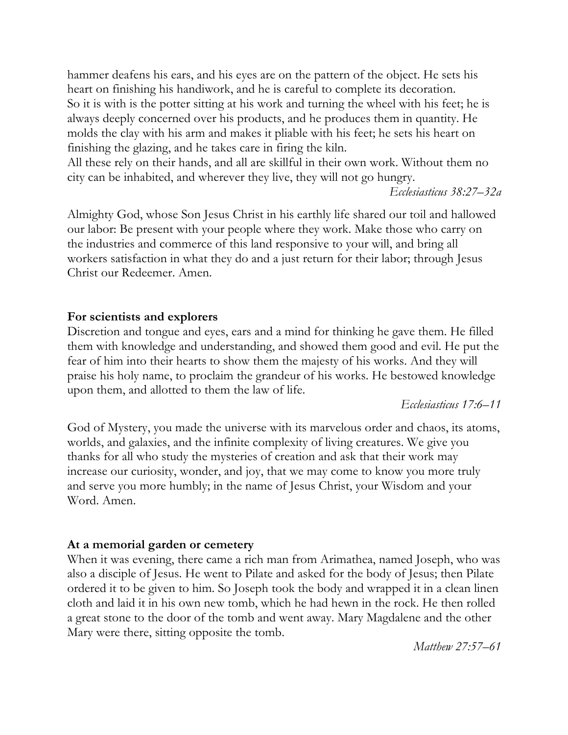hammer deafens his ears, and his eyes are on the pattern of the object. He sets his heart on finishing his handiwork, and he is careful to complete its decoration. So it is with is the potter sitting at his work and turning the wheel with his feet; he is always deeply concerned over his products, and he produces them in quantity. He molds the clay with his arm and makes it pliable with his feet; he sets his heart on finishing the glazing, and he takes care in firing the kiln.

All these rely on their hands, and all are skillful in their own work. Without them no city can be inhabited, and wherever they live, they will not go hungry.

*Ecclesiasticus 38:27–32a*

Almighty God, whose Son Jesus Christ in his earthly life shared our toil and hallowed our labor: Be present with your people where they work. Make those who carry on the industries and commerce of this land responsive to your will, and bring all workers satisfaction in what they do and a just return for their labor; through Jesus Christ our Redeemer. Amen.

## **For scientists and explorers**

Discretion and tongue and eyes, ears and a mind for thinking he gave them. He filled them with knowledge and understanding, and showed them good and evil. He put the fear of him into their hearts to show them the majesty of his works. And they will praise his holy name, to proclaim the grandeur of his works. He bestowed knowledge upon them, and allotted to them the law of life.

*Ecclesiasticus 17:6–11*

God of Mystery, you made the universe with its marvelous order and chaos, its atoms, worlds, and galaxies, and the infinite complexity of living creatures. We give you thanks for all who study the mysteries of creation and ask that their work may increase our curiosity, wonder, and joy, that we may come to know you more truly and serve you more humbly; in the name of Jesus Christ, your Wisdom and your Word. Amen.

## **At a memorial garden or cemetery**

When it was evening, there came a rich man from Arimathea, named Joseph, who was also a disciple of Jesus. He went to Pilate and asked for the body of Jesus; then Pilate ordered it to be given to him. So Joseph took the body and wrapped it in a clean linen cloth and laid it in his own new tomb, which he had hewn in the rock. He then rolled a great stone to the door of the tomb and went away. Mary Magdalene and the other Mary were there, sitting opposite the tomb.

*Matthew 27:57–61*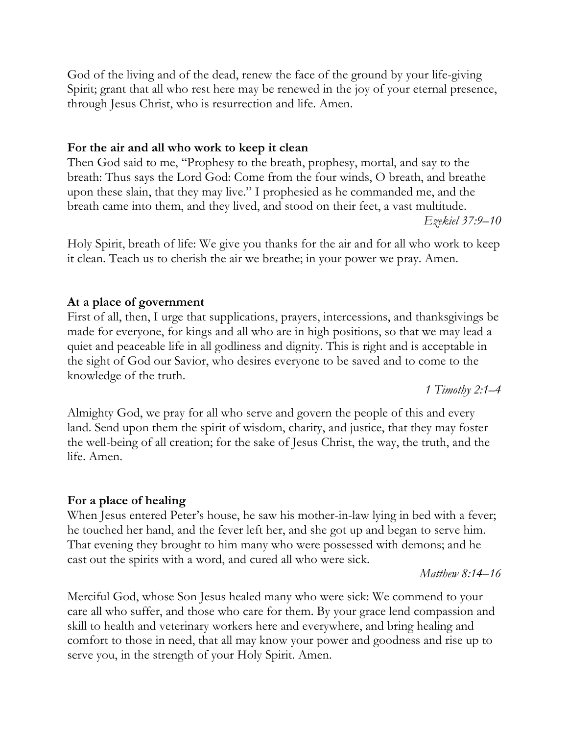God of the living and of the dead, renew the face of the ground by your life-giving Spirit; grant that all who rest here may be renewed in the joy of your eternal presence, through Jesus Christ, who is resurrection and life. Amen.

#### **For the air and all who work to keep it clean**

Then God said to me, "Prophesy to the breath, prophesy, mortal, and say to the breath: Thus says the Lord God: Come from the four winds, O breath, and breathe upon these slain, that they may live." I prophesied as he commanded me, and the breath came into them, and they lived, and stood on their feet, a vast multitude. *Ezekiel 37:9–10*

Holy Spirit, breath of life: We give you thanks for the air and for all who work to keep it clean. Teach us to cherish the air we breathe; in your power we pray. Amen.

#### **At a place of government**

First of all, then, I urge that supplications, prayers, intercessions, and thanksgivings be made for everyone, for kings and all who are in high positions, so that we may lead a quiet and peaceable life in all godliness and dignity. This is right and is acceptable in the sight of God our Savior, who desires everyone to be saved and to come to the knowledge of the truth.

*1 Timothy 2:1–4*

Almighty God, we pray for all who serve and govern the people of this and every land. Send upon them the spirit of wisdom, charity, and justice, that they may foster the well-being of all creation; for the sake of Jesus Christ, the way, the truth, and the life. Amen.

#### **For a place of healing**

When Jesus entered Peter's house, he saw his mother-in-law lying in bed with a fever; he touched her hand, and the fever left her, and she got up and began to serve him. That evening they brought to him many who were possessed with demons; and he cast out the spirits with a word, and cured all who were sick.

*Matthew 8:14–16*

Merciful God, whose Son Jesus healed many who were sick: We commend to your care all who suffer, and those who care for them. By your grace lend compassion and skill to health and veterinary workers here and everywhere, and bring healing and comfort to those in need, that all may know your power and goodness and rise up to serve you, in the strength of your Holy Spirit. Amen.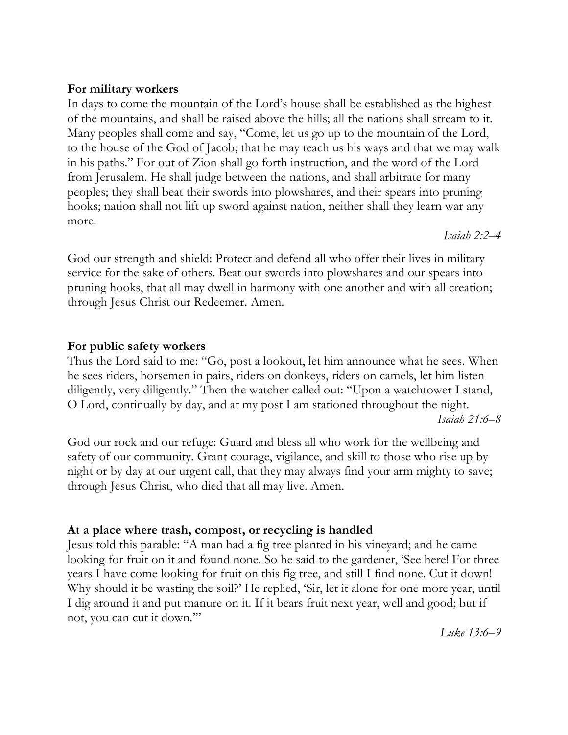## **For military workers**

In days to come the mountain of the Lord's house shall be established as the highest of the mountains, and shall be raised above the hills; all the nations shall stream to it. Many peoples shall come and say, "Come, let us go up to the mountain of the Lord, to the house of the God of Jacob; that he may teach us his ways and that we may walk in his paths." For out of Zion shall go forth instruction, and the word of the Lord from Jerusalem. He shall judge between the nations, and shall arbitrate for many peoples; they shall beat their swords into plowshares, and their spears into pruning hooks; nation shall not lift up sword against nation, neither shall they learn war any more.

*Isaiah 2:2–4*

God our strength and shield: Protect and defend all who offer their lives in military service for the sake of others. Beat our swords into plowshares and our spears into pruning hooks, that all may dwell in harmony with one another and with all creation; through Jesus Christ our Redeemer. Amen.

## **For public safety workers**

Thus the Lord said to me: "Go, post a lookout, let him announce what he sees. When he sees riders, horsemen in pairs, riders on donkeys, riders on camels, let him listen diligently, very diligently." Then the watcher called out: "Upon a watchtower I stand, O Lord, continually by day, and at my post I am stationed throughout the night. *Isaiah 21:6–8*

God our rock and our refuge: Guard and bless all who work for the wellbeing and safety of our community. Grant courage, vigilance, and skill to those who rise up by night or by day at our urgent call, that they may always find your arm mighty to save; through Jesus Christ, who died that all may live. Amen.

# **At a place where trash, compost, or recycling is handled**

Jesus told this parable: "A man had a fig tree planted in his vineyard; and he came looking for fruit on it and found none. So he said to the gardener, 'See here! For three years I have come looking for fruit on this fig tree, and still I find none. Cut it down! Why should it be wasting the soil?' He replied, 'Sir, let it alone for one more year, until I dig around it and put manure on it. If it bears fruit next year, well and good; but if not, you can cut it down.'"

*Luke 13:6–9*